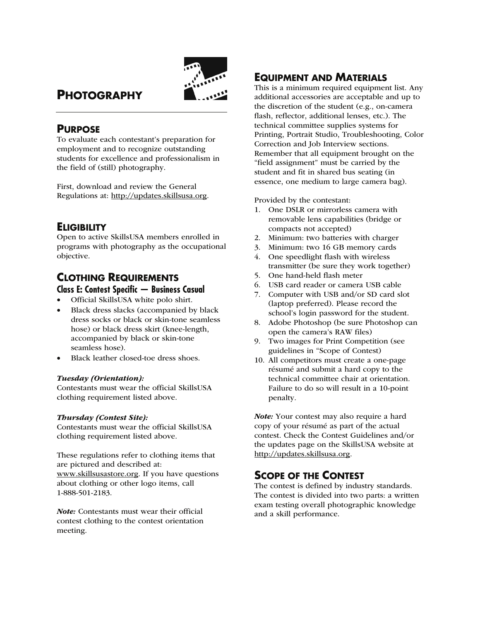

# **PHOTOGRAPHY**

## **PURPOSE**

To evaluate each contestant's preparation for employment and to recognize outstanding students for excellence and professionalism in the field of (still) photography.

First, download and review the General Regulations at: http://updates.skillsusa.org.

# **ELIGIBILITY**

Open to active SkillsUSA members enrolled in programs with photography as the occupational objective.

# **CLOTHING REQUIREMENTS Class E: Contest Specific — Business Casual**

- Official SkillsUSA white polo shirt.
- Black dress slacks (accompanied by black dress socks or black or skin-tone seamless hose) or black dress skirt (knee-length, accompanied by black or skin-tone seamless hose).
- Black leather closed-toe dress shoes.

### Tuesday (Orientation):

Contestants must wear the official SkillsUSA clothing requirement listed above.

### Thursday (Contest Site):

Contestants must wear the official SkillsUSA clothing requirement listed above.

These regulations refer to clothing items that are pictured and described at: www.skillsusastore.org. If you have questions about clothing or other logo items, call 1-888-501-2183.

Note: Contestants must wear their official contest clothing to the contest orientation meeting.

# **EQUIPMENT AND MATERIALS**

This is a minimum required equipment list. Any additional accessories are acceptable and up to the discretion of the student (e.g., on-camera flash, reflector, additional lenses, etc.). The technical committee supplies systems for Printing, Portrait Studio, Troubleshooting, Color Correction and Job Interview sections. Remember that all equipment brought on the "field assignment" must be carried by the student and fit in shared bus seating (in essence, one medium to large camera bag).

Provided by the contestant:

- 1. One DSLR or mirrorless camera with removable lens capabilities (bridge or compacts not accepted)
- 2. Minimum: two batteries with charger
- 3. Minimum: two 16 GB memory cards
- 4. One speedlight flash with wireless transmitter (be sure they work together)
- 5. One hand-held flash meter
- 6. USB card reader or camera USB cable
- 7. Computer with USB and/or SD card slot (laptop preferred). Please record the school's login password for the student.
- 8. Adobe Photoshop (be sure Photoshop can open the camera's RAW files)
- 9. Two images for Print Competition (see guidelines in "Scope of Contest)
- 10. All competitors must create a one-page résumé and submit a hard copy to the technical committee chair at orientation. Failure to do so will result in a 10-point penalty.

Note: Your contest may also require a hard copy of your résumé as part of the actual contest. Check the Contest Guidelines and/or the updates page on the SkillsUSA website at http://updates.skillsusa.org.

# **SCOPE OF THE CONTEST**

The contest is defined by industry standards. The contest is divided into two parts: a written exam testing overall photographic knowledge and a skill performance.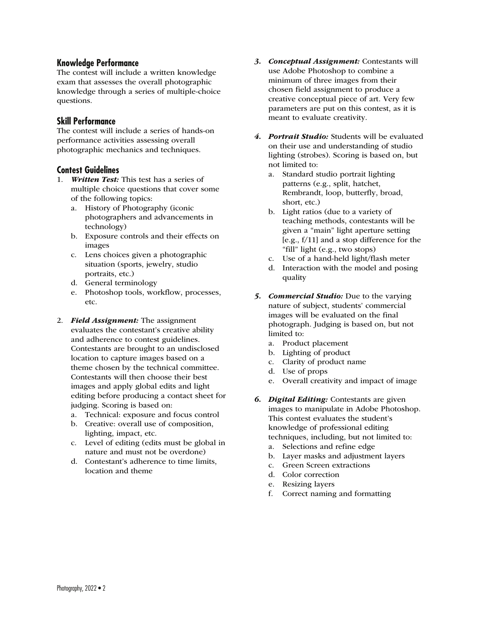### **Knowledge Performance**

The contest will include a written knowledge exam that assesses the overall photographic knowledge through a series of multiple-choice questions.

### **Skill Performance**

The contest will include a series of hands-on performance activities assessing overall photographic mechanics and techniques.

### **Contest Guidelines**

- 1. Written Test: This test has a series of multiple choice questions that cover some of the following topics:
	- a. History of Photography (iconic photographers and advancements in technology)
	- b. Exposure controls and their effects on images
	- c. Lens choices given a photographic situation (sports, jewelry, studio portraits, etc.)
	- d. General terminology
	- e. Photoshop tools, workflow, processes, etc.
- 2. Field Assignment: The assignment evaluates the contestant's creative ability and adherence to contest guidelines. Contestants are brought to an undisclosed location to capture images based on a theme chosen by the technical committee. Contestants will then choose their best images and apply global edits and light editing before producing a contact sheet for judging. Scoring is based on:
	- a. Technical: exposure and focus control
	- b. Creative: overall use of composition, lighting, impact, etc.
	- c. Level of editing (edits must be global in nature and must not be overdone)
	- d. Contestant's adherence to time limits, location and theme
- 3. Conceptual Assignment: Contestants will use Adobe Photoshop to combine a minimum of three images from their chosen field assignment to produce a creative conceptual piece of art. Very few parameters are put on this contest, as it is meant to evaluate creativity.
- 4. Portrait Studio: Students will be evaluated on their use and understanding of studio lighting (strobes). Scoring is based on, but not limited to:
	- a. Standard studio portrait lighting patterns (e.g., split, hatchet, Rembrandt, loop, butterfly, broad, short, etc.)
	- b. Light ratios (due to a variety of teaching methods, contestants will be given a "main" light aperture setting [e.g.,  $f/11$ ] and a stop difference for the "fill" light (e.g., two stops)
	- c. Use of a hand-held light/flash meter
	- d. Interaction with the model and posing quality
- 5. Commercial Studio: Due to the varying nature of subject, students' commercial images will be evaluated on the final photograph. Judging is based on, but not limited to:
	- a. Product placement
	- b. Lighting of product
	- c. Clarity of product name
	- d. Use of props
	- e. Overall creativity and impact of image
- **6. Digital Editing:** Contestants are given images to manipulate in Adobe Photoshop. This contest evaluates the student's knowledge of professional editing techniques, including, but not limited to:
	- a. Selections and refine edge
	- b. Layer masks and adjustment layers
	- c. Green Screen extractions
	- d. Color correction
	- e. Resizing layers
	- f. Correct naming and formatting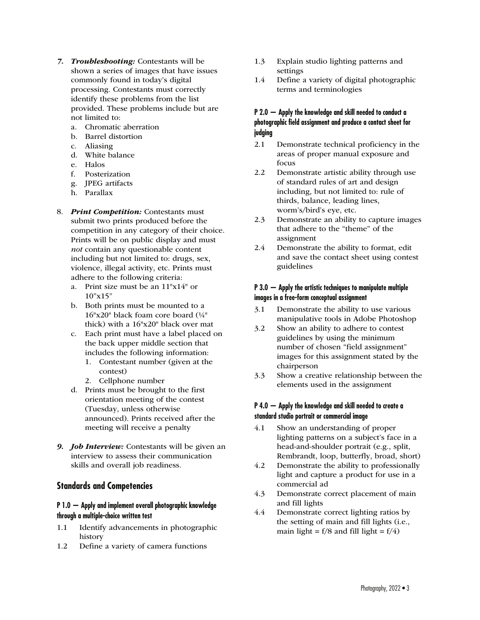- 7. Troubleshooting: Contestants will be shown a series of images that have issues commonly found in today's digital processing. Contestants must correctly identify these problems from the list provided. These problems include but are not limited to:
	- a. Chromatic aberration
	- b. Barrel distortion
	- c. Aliasing
	- d. White balance
	- e. Halos
	- f. Posterization
	- g. JPEG artifacts
	- h. Parallax
- 8. Print Competition: Contestants must submit two prints produced before the competition in any category of their choice. Prints will be on public display and must not contain any questionable content including but not limited to: drugs, sex, violence, illegal activity, etc. Prints must adhere to the following criteria:
	- a. Print size must be an 11"x14" or  $10"x15"$
	- b. Both prints must be mounted to a 16"x20" black foam core board (¼" thick) with a 16"x20" black over mat
	- c. Each print must have a label placed on the back upper middle section that includes the following information:
		- 1. Contestant number (given at the contest)
		- 2. Cellphone number
	- d. Prints must be brought to the first orientation meeting of the contest (Tuesday, unless otherwise announced). Prints received after the meeting will receive a penalty
- 9. **Job Interview:** Contestants will be given an interview to assess their communication skills and overall job readiness.

## **Standards and Competencies**

#### **P 1.0 — Apply and implement overall photographic knowledge through a multiple-choice written test**

- 1.1 Identify advancements in photographic history
- 1.2 Define a variety of camera functions
- 1.3 Explain studio lighting patterns and settings
- 1.4 Define a variety of digital photographic terms and terminologies

### **P 2.0 — Apply the knowledge and skill needed to conduct a photographic field assignment and produce a contact sheet for judging**

- 2.1 Demonstrate technical proficiency in the areas of proper manual exposure and focus
- 2.2 Demonstrate artistic ability through use of standard rules of art and design including, but not limited to: rule of thirds, balance, leading lines, worm's/bird's eye, etc.
- 2.3 Demonstrate an ability to capture images that adhere to the "theme" of the assignment
- 2.4 Demonstrate the ability to format, edit and save the contact sheet using contest guidelines

### **P 3.0 — Apply the artistic techniques to manipulate multiple images in a free-form conceptual assignment**

- 3.1 Demonstrate the ability to use various manipulative tools in Adobe Photoshop
- 3.2 Show an ability to adhere to contest guidelines by using the minimum number of chosen "field assignment" images for this assignment stated by the chairperson
- 3.3 Show a creative relationship between the elements used in the assignment

### **P 4.0 — Apply the knowledge and skill needed to create a standard studio portrait or commercial image**

- 4.1 Show an understanding of proper lighting patterns on a subject's face in a head-and-shoulder portrait (e.g., split, Rembrandt, loop, butterfly, broad, short)
- 4.2 Demonstrate the ability to professionally light and capture a product for use in a commercial ad
- 4.3 Demonstrate correct placement of main and fill lights
- 4.4 Demonstrate correct lighting ratios by the setting of main and fill lights (i.e., main light =  $f/8$  and fill light =  $f/4$ )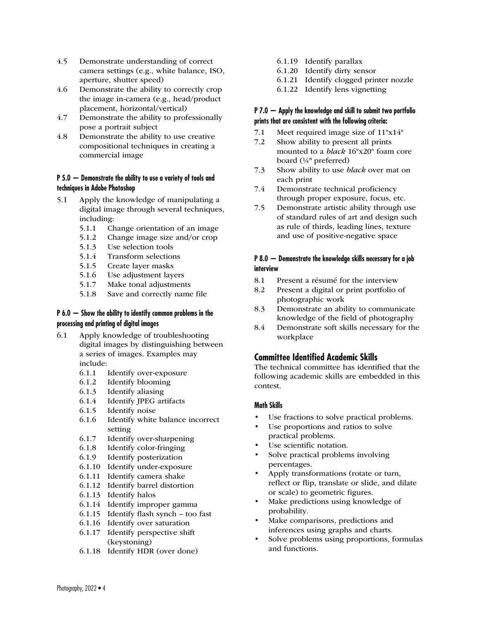- 4.5 Demonstrate understanding of correct camera settings (e.g., white balance, ISO, aperture, shutter speed)
- 4.6 Demonstrate the ability to correctly crop the image in-camera (e.g., head/product placement, horizontal/vertical)
- 4.7 Demonstrate the ability to professionally pose a portrait subject
- 4.8 Demonstrate the ability to use creative compositional techniques in creating a commercial image

#### **P 5.0 — Demonstrate the ability to use a variety of tools and techniques in Adobe Photoshop**

- 5.1 Apply the knowledge of manipulating a digital image through several techniques, including:
	- 5.1.1 Change orientation of an image
	- 5.1.2 Change image size and/or crop
	- 5.1.3 Use selection tools
	- 5.1.4 Transform selections
	- 5.1.5 Create layer masks
	- 5.1.6 Use adjustment layers
	- 5.1.7 Make tonal adjustments
	- 5.1.8 Save and correctly name file

#### **P 6.0 — Show the ability to identify common problems in the processing and printing of digital images**

- 6.1 Apply knowledge of troubleshooting digital images by distinguishing between a series of images. Examples may include:
	- 6.1.1 Identify over-exposure
	- 6.1.2 Identify blooming
	- 6.1.3 Identify aliasing
	- 6.1.4 Identify JPEG artifacts
	- 6.1.5 Identify noise
	- 6.1.6 Identify white balance incorrect setting
	- 6.1.7 Identify over-sharpening
	- 6.1.8 Identify color-fringing
	- 6.1.9 Identify posterization
	- 6.1.10 Identify under-exposure
	- 6.1.11 Identify camera shake
	- 6.1.12 Identify barrel distortion
	- 6.1.13 Identify halos
	- 6.1.14 Identify improper gamma
	- 6.1.15 Identify flash synch too fast
	- 6.1.16 Identify over saturation
	- 6.1.17 Identify perspective shift (keystoning)
	- 6.1.18 Identify HDR (over done)
- 6.1.19 Identify parallax
- 6.1.20 Identify dirty sensor
- 6.1.21 Identify clogged printer nozzle
- 6.1.22 Identify lens vignetting

### **P 7.0 — Apply the knowledge and skill to submit two portfolio prints that are consistent with the following criteria:**

- 7.1 Meet required image size of 11"x14"
- 7.2 Show ability to present all prints mounted to a black 16"x20" foam core board (¼" preferred)
- 7.3 Show ability to use black over mat on each print
- 7.4 Demonstrate technical proficiency through proper exposure, focus, etc.
- 7.5 Demonstrate artistic ability through use of standard rules of art and design such as rule of thirds, leading lines, texture and use of positive-negative space

### **P 8.0 — Demonstrate the knowledge skills necessary for a job interview**

- 8.1 Present a résumé for the interview
- 8.2 Present a digital or print portfolio of photographic work
- 8.3 Demonstrate an ability to communicate knowledge of the field of photography
- 8.4 Demonstrate soft skills necessary for the workplace

## **Committee Identified Academic Skills**

The technical committee has identified that the following academic skills are embedded in this contest.

### **Math Skills**

- Use fractions to solve practical problems.
- Use proportions and ratios to solve practical problems.
- Use scientific notation.
- Solve practical problems involving percentages.
- Apply transformations (rotate or turn, reflect or flip, translate or slide, and dilate or scale) to geometric figures.
- Make predictions using knowledge of probability.
- Make comparisons, predictions and inferences using graphs and charts.
- Solve problems using proportions, formulas and functions.